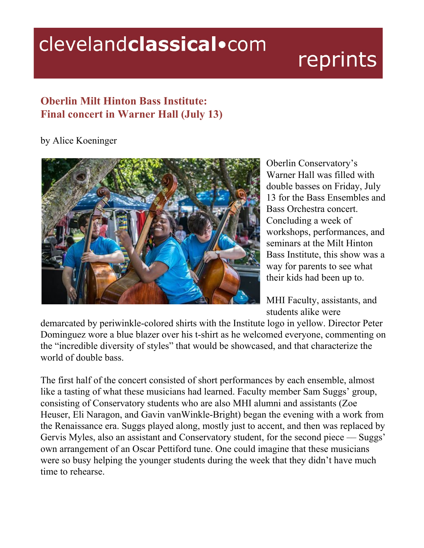## clevelandclassical.com

## reprints

## **Oberlin Milt Hinton Bass Institute: Final concert in Warner Hall (July 13)**

## by Alice Koeninger



Oberlin Conservatory's Warner Hall was filled with double basses on Friday, July 13 for the Bass Ensembles and Bass Orchestra concert. Concluding a week of workshops, performances, and seminars at the Milt Hinton Bass Institute, this show was a way for parents to see what their kids had been up to.

MHI Faculty, assistants, and students alike were

demarcated by periwinkle-colored shirts with the Institute logo in yellow. Director Peter Dominguez wore a blue blazer over his t-shirt as he welcomed everyone, commenting on the "incredible diversity of styles" that would be showcased, and that characterize the world of double bass.

The first half of the concert consisted of short performances by each ensemble, almost like a tasting of what these musicians had learned. Faculty member Sam Suggs' group, consisting of Conservatory students who are also MHI alumni and assistants (Zoe Heuser, Eli Naragon, and Gavin vanWinkle-Bright) began the evening with a work from the Renaissance era. Suggs played along, mostly just to accent, and then was replaced by Gervis Myles, also an assistant and Conservatory student, for the second piece –– Suggs' own arrangement of an Oscar Pettiford tune. One could imagine that these musicians were so busy helping the younger students during the week that they didn't have much time to rehearse.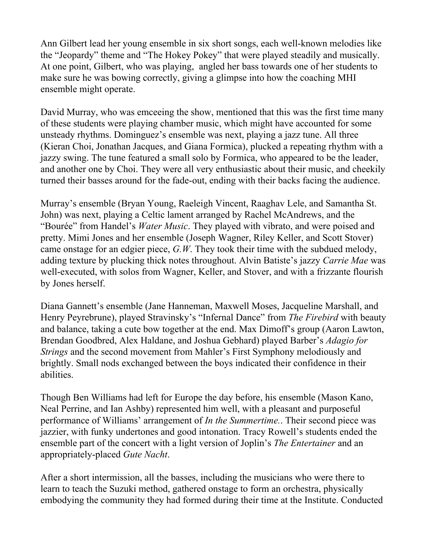Ann Gilbert lead her young ensemble in six short songs, each well-known melodies like the "Jeopardy" theme and "The Hokey Pokey" that were played steadily and musically. At one point, Gilbert, who was playing, angled her bass towards one of her students to make sure he was bowing correctly, giving a glimpse into how the coaching MHI ensemble might operate.

David Murray, who was emceeing the show, mentioned that this was the first time many of these students were playing chamber music, which might have accounted for some unsteady rhythms. Dominguez's ensemble was next, playing a jazz tune. All three (Kieran Choi, Jonathan Jacques, and Giana Formica), plucked a repeating rhythm with a jazzy swing. The tune featured a small solo by Formica, who appeared to be the leader, and another one by Choi. They were all very enthusiastic about their music, and cheekily turned their basses around for the fade-out, ending with their backs facing the audience.

Murray's ensemble (Bryan Young, Raeleigh Vincent, Raaghav Lele, and Samantha St. John) was next, playing a Celtic lament arranged by Rachel McAndrews, and the "Bourée" from Handel's *Water Music*. They played with vibrato, and were poised and pretty. Mimi Jones and her ensemble (Joseph Wagner, Riley Keller, and Scott Stover) came onstage for an edgier piece, *G.W*. They took their time with the subdued melody, adding texture by plucking thick notes throughout. Alvin Batiste's jazzy *Carrie Mae* was well-executed, with solos from Wagner, Keller, and Stover, and with a frizzante flourish by Jones herself.

Diana Gannett's ensemble (Jane Hanneman, Maxwell Moses, Jacqueline Marshall, and Henry Peyrebrune), played Stravinsky's "Infernal Dance" from *The Firebird* with beauty and balance, taking a cute bow together at the end. Max Dimoff's group (Aaron Lawton, Brendan Goodbred, Alex Haldane, and Joshua Gebhard) played Barber's *Adagio for Strings* and the second movement from Mahler's First Symphony melodiously and brightly. Small nods exchanged between the boys indicated their confidence in their abilities.

Though Ben Williams had left for Europe the day before, his ensemble (Mason Kano, Neal Perrine, and Ian Ashby) represented him well, with a pleasant and purposeful performance of Williams' arrangement of *In the Summertime.*. Their second piece was jazzier, with funky undertones and good intonation. Tracy Rowell's students ended the ensemble part of the concert with a light version of Joplin's *The Entertainer* and an appropriately-placed *Gute Nacht*.

After a short intermission, all the basses, including the musicians who were there to learn to teach the Suzuki method, gathered onstage to form an orchestra, physically embodying the community they had formed during their time at the Institute. Conducted